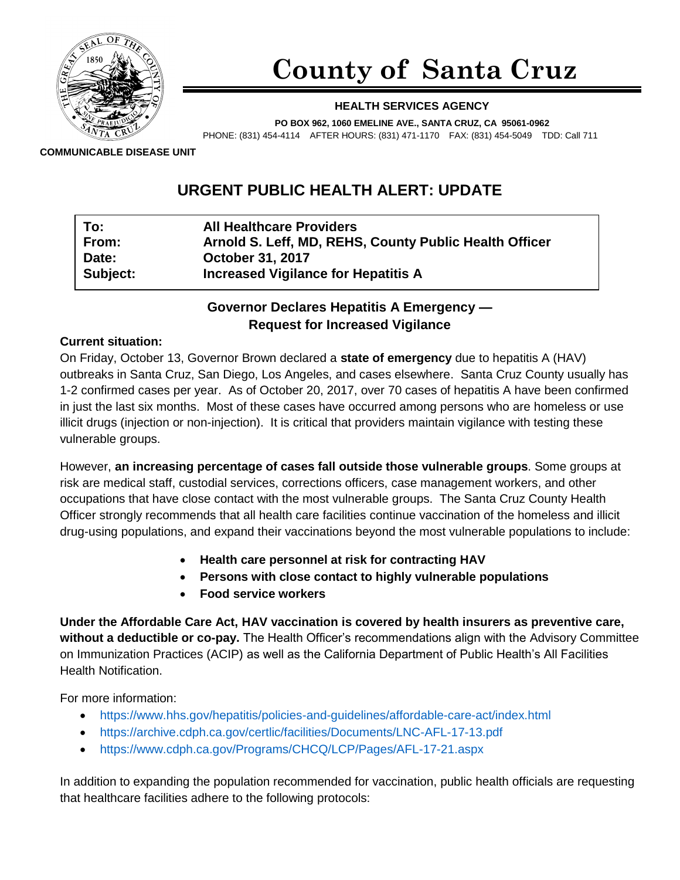

# **County of Santa Cruz**

#### **HEALTH SERVICES AGENCY**

**PO BOX 962, 1060 EMELINE AVE., SANTA CRUZ, CA 95061-0962**

PHONE: (831) 454-4114 AFTER HOURS: (831) 471-1170 FAX: (831) 454-5049 TDD: Call 711

**COMMUNICABLE DISEASE UNIT**

# **URGENT PUBLIC HEALTH ALERT: UPDATE**

| To:      | <b>All Healthcare Providers</b>                        |
|----------|--------------------------------------------------------|
| From:    | Arnold S. Leff, MD, REHS, County Public Health Officer |
| Date:    | <b>October 31, 2017</b>                                |
| Subject: | <b>Increased Vigilance for Hepatitis A</b>             |

# **Governor Declares Hepatitis A Emergency — Request for Increased Vigilance**

#### **Current situation:**

On Friday, October 13, Governor Brown declared a **state of emergency** due to hepatitis A (HAV) outbreaks in Santa Cruz, San Diego, Los Angeles, and cases elsewhere. Santa Cruz County usually has 1-2 confirmed cases per year. As of October 20, 2017, over 70 cases of hepatitis A have been confirmed in just the last six months. Most of these cases have occurred among persons who are homeless or use illicit drugs (injection or non-injection). It is critical that providers maintain vigilance with testing these vulnerable groups.

However, **an increasing percentage of cases fall outside those vulnerable groups**. Some groups at risk are medical staff, custodial services, corrections officers, case management workers, and other occupations that have close contact with the most vulnerable groups. The Santa Cruz County Health Officer strongly recommends that all health care facilities continue vaccination of the homeless and illicit drug-using populations, and expand their vaccinations beyond the most vulnerable populations to include:

- **Health care personnel at risk for contracting HAV**
- **Persons with close contact to highly vulnerable populations**
- **Food service workers**

**Under the Affordable Care Act, HAV vaccination is covered by health insurers as preventive care, without a deductible or co-pay.** The Health Officer's recommendations align with the Advisory Committee on Immunization Practices (ACIP) as well as the California Department of Public Health's All Facilities Health Notification.

For more information:

- <https://www.hhs.gov/hepatitis/policies-and-guidelines/affordable-care-act/index.html>
- <https://archive.cdph.ca.gov/certlic/facilities/Documents/LNC-AFL-17-13.pdf>
- <https://www.cdph.ca.gov/Programs/CHCQ/LCP/Pages/AFL-17-21.aspx>

In addition to expanding the population recommended for vaccination, public health officials are requesting that healthcare facilities adhere to the following protocols: